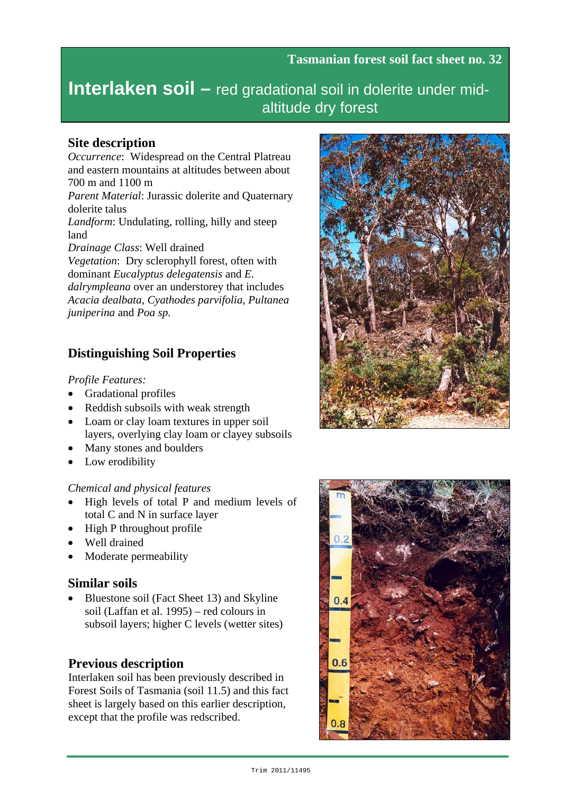# **Interlaken soil –** red gradational soil in dolerite under midaltitude dry forest

#### **Site description**

*Occurrence*: Widespread on the Central Platreau and eastern mountains at altitudes between about 700 m and 1100 m *Parent Material*: Jurassic dolerite and Quaternary dolerite talus *Landform*: Undulating, rolling, hilly and steep land *Drainage Class*: Well drained *Vegetation*: Dry sclerophyll forest, often with dominant *Eucalyptus delegatensis* and *E.* 

*dalrympleana* over an understorey that includes *Acacia dealbata*, *Cyathodes parvifolia*, *Pultanea juniperina* and *Poa sp.*

# **Distinguishing Soil Properties**

*Profile Features:*

- Gradational profiles
- Reddish subsoils with weak strength
- Loam or clay loam textures in upper soil layers, overlying clay loam or clayey subsoils
- Many stones and boulders
- Low erodibility

#### *Chemical and physical features*

- High levels of total P and medium levels of total C and N in surface layer
- High P throughout profile
- Well drained
- Moderate permeability

#### **Similar soils**

• Bluestone soil (Fact Sheet 13) and Skyline soil (Laffan et al. 1995) – red colours in subsoil layers; higher C levels (wetter sites)

# **Previous description**

Interlaken soil has been previously described in Forest Soils of Tasmania (soil 11.5) and this fact sheet is largely based on this earlier description, except that the profile was redscribed.



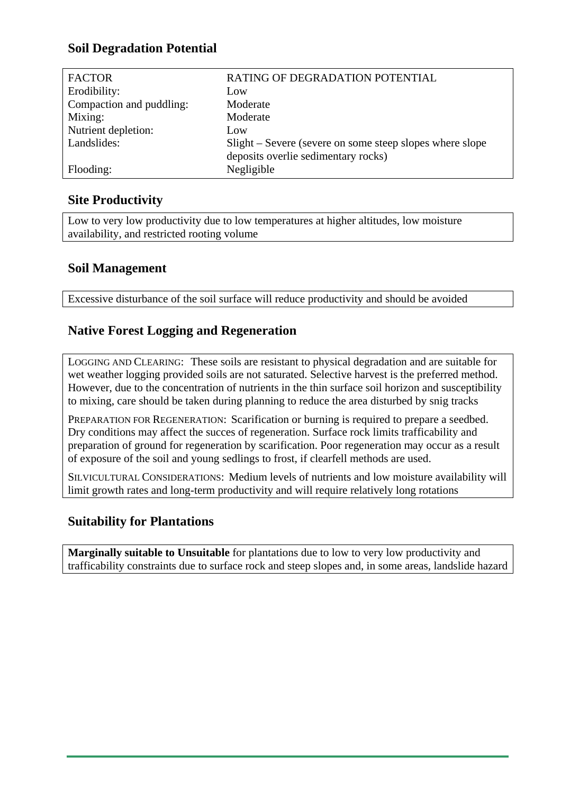# **Soil Degradation Potential**

| <b>FACTOR</b>            | RATING OF DEGRADATION POTENTIAL                          |  |  |  |
|--------------------------|----------------------------------------------------------|--|--|--|
| Erodibility:             | Low                                                      |  |  |  |
| Compaction and puddling: | Moderate                                                 |  |  |  |
| Mixing:                  | Moderate                                                 |  |  |  |
| Nutrient depletion:      | Low                                                      |  |  |  |
| Landslides:              | Slight – Severe (severe on some steep slopes where slope |  |  |  |
|                          | deposits overlie sedimentary rocks)                      |  |  |  |
| Flooding:                | Negligible                                               |  |  |  |

# **Site Productivity**

Low to very low productivity due to low temperatures at higher altitudes, low moisture availability, and restricted rooting volume

# **Soil Management**

Excessive disturbance of the soil surface will reduce productivity and should be avoided

# **Native Forest Logging and Regeneration**

LOGGING AND CLEARING: These soils are resistant to physical degradation and are suitable for wet weather logging provided soils are not saturated. Selective harvest is the preferred method. However, due to the concentration of nutrients in the thin surface soil horizon and susceptibility to mixing, care should be taken during planning to reduce the area disturbed by snig tracks

PREPARATION FOR REGENERATION: Scarification or burning is required to prepare a seedbed. Dry conditions may affect the succes of regeneration. Surface rock limits trafficability and preparation of ground for regeneration by scarification. Poor regeneration may occur as a result of exposure of the soil and young sedlings to frost, if clearfell methods are used.

SILVICULTURAL CONSIDERATIONS: Medium levels of nutrients and low moisture availability will limit growth rates and long-term productivity and will require relatively long rotations

# **Suitability for Plantations**

**Marginally suitable to Unsuitable** for plantations due to low to very low productivity and trafficability constraints due to surface rock and steep slopes and, in some areas, landslide hazard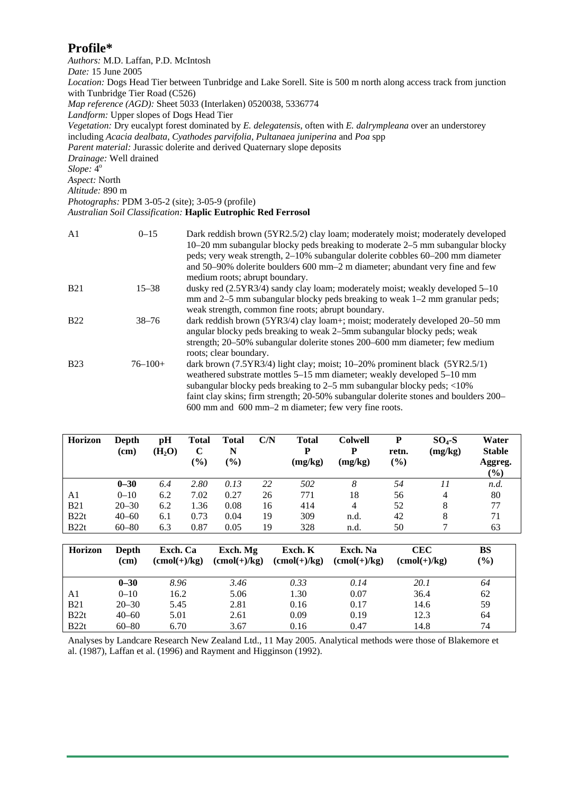#### **Profile\***

*Authors:* M.D. Laffan, P.D. McIntosh *Date:* 15 June 2005 *Location:* Dogs Head Tier between Tunbridge and Lake Sorell. Site is 500 m north along access track from junction with Tunbridge Tier Road (C526) *Map reference (AGD):* Sheet 5033 (Interlaken) 0520038, 5336774 *Landform:* Upper slopes of Dogs Head Tier *Vegetation:* Dry eucalypt forest dominated by *E. delegatensis*, often with *E. dalrympleana* over an understorey including *Acacia dealbata*, *Cyathodes parvifolia*, *Pultanaea juniperina* and *Poa* spp *Parent material:* Jurassic dolerite and derived Quaternary slope deposits *Drainage:* Well drained *Slope:* 4o *Aspect:* North *Altitude:* 890 m *Photographs:* PDM 3-05-2 (site); 3-05-9 (profile)

#### *Australian Soil Classification:* **Haplic Eutrophic Red Ferrosol**

| A <sub>1</sub> | $0 - 15$     | Dark reddish brown (5YR2.5/2) clay loam; moderately moist; moderately developed<br>10–20 mm subangular blocky peds breaking to moderate 2–5 mm subangular blocky<br>peds; very weak strength, 2–10% subangular dolerite cobbles 60–200 mm diameter<br>and 50–90% dolerite boulders 600 mm–2 m diameter; abundant very fine and few<br>medium roots; abrupt boundary.                           |
|----------------|--------------|------------------------------------------------------------------------------------------------------------------------------------------------------------------------------------------------------------------------------------------------------------------------------------------------------------------------------------------------------------------------------------------------|
| <b>B21</b>     | $15 - 38$    | dusky red $(2.5YR3/4)$ sandy clay loam; moderately moist; weakly developed $5-10$<br>mm and $2-5$ mm subangular blocky peds breaking to weak $1-2$ mm granular peds;<br>weak strength, common fine roots; abrupt boundary.                                                                                                                                                                     |
| <b>B22</b>     | $38 - 76$    | dark reddish brown (5YR3/4) clay loam+; moist; moderately developed 20–50 mm<br>angular blocky peds breaking to weak 2–5mm subangular blocky peds; weak<br>strength; 20–50% subangular dolerite stones 200–600 mm diameter; few medium<br>roots; clear boundary.                                                                                                                               |
| <b>B23</b>     | $76 - 100 +$ | dark brown $(7.5YR3/4)$ light clay; moist; 10–20% prominent black $(5YR2.5/1)$<br>weathered substrate mottles 5–15 mm diameter; weakly developed 5–10 mm<br>subangular blocky peds breaking to $2-5$ mm subangular blocky peds; $\langle 10\%$<br>faint clay skins; firm strength; 20-50% subangular dolerite stones and boulders 200–<br>600 mm and 600 mm-2 m diameter; few very fine roots. |

| <b>Horizon</b> | Depth<br>(cm) | рH<br>(H <sub>2</sub> O) | Total<br>$\mathbf C$<br>$(\%)$ | Total<br>N<br>$(\%)$ | C/N | <b>Total</b><br>D<br>(mg/kg) | <b>Colwell</b><br>р<br>(mg/kg) | P<br>retn.<br>(%) | $SO4-S$<br>(mg/kg) | Water<br><b>Stable</b><br>Aggreg.<br>$\frac{1}{2}$ |
|----------------|---------------|--------------------------|--------------------------------|----------------------|-----|------------------------------|--------------------------------|-------------------|--------------------|----------------------------------------------------|
|                | $0 - 30$      | 6.4                      | 2.80                           | 0.13                 | 22  | 502                          | 8                              | 54                | 11                 | n.d.                                               |
| A1             | $0 - 10$      | 6.2                      | 7.02                           | 0.27                 | 26  | 771                          | 18                             | 56                | 4                  | 80                                                 |
| <b>B21</b>     | $20 - 30$     | 6.2                      | 1.36                           | 0.08                 | 16  | 414                          | 4                              | 52                | 8                  | 77                                                 |
| B22t           | $40 - 60$     | 6.1                      | 0.73                           | 0.04                 | 19  | 309                          | n.d.                           | 42                | 8                  | 71                                                 |
| B22t           | $60 - 80$     | 6.3                      | 0.87                           | 0.05                 | 19  | 328                          | n.d.                           | 50                |                    | 63                                                 |

| <b>Horizon</b> | Depth<br>(cm) | Exch. Ca<br>$(cmol(+)/kg)$ | Exch. Mg<br>$(\text{cmol}(+)/\text{kg})$ | Exch. K<br>$(\text{cmol}(+)/\text{kg})$ | Exch. Na<br>$(\text{cmol}(+)/\text{kg})$ | <b>CEC</b><br>$(\text{cmol}(+)/\text{kg})$ | BS<br>$(\%)$ |
|----------------|---------------|----------------------------|------------------------------------------|-----------------------------------------|------------------------------------------|--------------------------------------------|--------------|
|                | $0 - 30$      | 8.96                       | 3.46                                     | 0.33                                    | 0.14                                     | <i>20.1</i>                                | 64           |
| A1             | $0 - 10$      | 16.2                       | 5.06                                     | 1.30                                    | 0.07                                     | 36.4                                       | 62           |
| <b>B21</b>     | $20 - 30$     | 5.45                       | 2.81                                     | 0.16                                    | 0.17                                     | 14.6                                       | 59           |
| B22t           | $40 - 60$     | 5.01                       | 2.61                                     | 0.09                                    | 0.19                                     | 12.3                                       | 64           |
| B22t           | $60 - 80$     | 6.70                       | 3.67                                     | 0.16                                    | 0.47                                     | 14.8                                       | 74           |

Analyses by Landcare Research New Zealand Ltd., 11 May 2005. Analytical methods were those of Blakemore et al. (1987), Laffan et al. (1996) and Rayment and Higginson (1992).